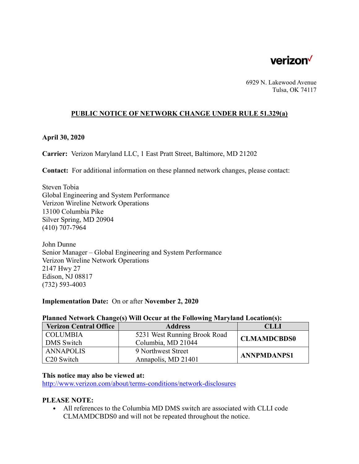

6929 N. Lakewood Avenue Tulsa, OK 74117

# **PUBLIC NOTICE OF NETWORK CHANGE UNDER RULE 51.329(a)**

# **April 30, 2020**

**Carrier:** Verizon Maryland LLC, 1 East Pratt Street, Baltimore, MD 21202

**Contact:** For additional information on these planned network changes, please contact:

Steven Tobia Global Engineering and System Performance Verizon Wireline Network Operations 13100 Columbia Pike Silver Spring, MD 20904 (410) 707-7964

John Dunne Senior Manager – Global Engineering and System Performance Verizon Wireline Network Operations 2147 Hwy 27 Edison, NJ 08817 (732) 593-4003

## **Implementation Date:** On or after **November 2, 2020**

| <b>Verizon Central Office</b> | <b>Address</b>               | <b>CLLI</b>        |
|-------------------------------|------------------------------|--------------------|
| <b>COLUMBIA</b>               | 5231 West Running Brook Road | <b>CLMAMDCBDS0</b> |
| <b>DMS</b> Switch             | Columbia, MD 21044           |                    |
| <b>ANNAPOLIS</b>              | 9 Northwest Street           | <b>ANNPMDANPS1</b> |
| C <sub>20</sub> Switch        | Annapolis, MD 21401          |                    |

# **Planned Network Change(s) Will Occur at the Following Maryland Location(s):**

#### **This notice may also be viewed at:**

http://www.verizon.com/about/terms-conditions/network-disclosures

## **PLEASE NOTE:**

• All references to the Columbia MD DMS switch are associated with CLLI code CLMAMDCBDS0 and will not be repeated throughout the notice.